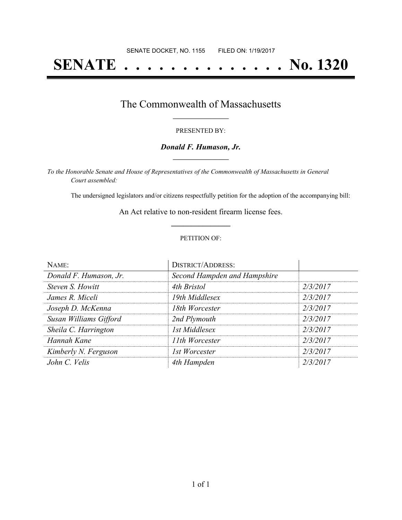# **SENATE . . . . . . . . . . . . . . No. 1320**

### The Commonwealth of Massachusetts **\_\_\_\_\_\_\_\_\_\_\_\_\_\_\_\_\_**

#### PRESENTED BY:

#### *Donald F. Humason, Jr.* **\_\_\_\_\_\_\_\_\_\_\_\_\_\_\_\_\_**

*To the Honorable Senate and House of Representatives of the Commonwealth of Massachusetts in General Court assembled:*

The undersigned legislators and/or citizens respectfully petition for the adoption of the accompanying bill:

An Act relative to non-resident firearm license fees. **\_\_\_\_\_\_\_\_\_\_\_\_\_\_\_**

#### PETITION OF:

| NAME:                  | <b>DISTRICT/ADDRESS:</b>     |          |
|------------------------|------------------------------|----------|
| Donald F. Humason, Jr. | Second Hampden and Hampshire |          |
| Steven S. Howitt       | 4th Bristol                  | 2/3/2017 |
| James R. Miceli        | 19th Middlesex               | 2/3/2017 |
| Joseph D. McKenna      | 18th Worcester               | 2/3/2017 |
| Susan Williams Gifford | 2nd Plymouth                 | 2/3/2017 |
| Sheila C. Harrington   | 1st Middlesex                | 2/3/2017 |
| Hannah Kane            | 11th Worcester               | 2/3/2017 |
| Kimberly N. Ferguson   | 1st Worcester                | 2/3/2017 |
| John C. Velis          | 4th Hampden                  | 2/3/2017 |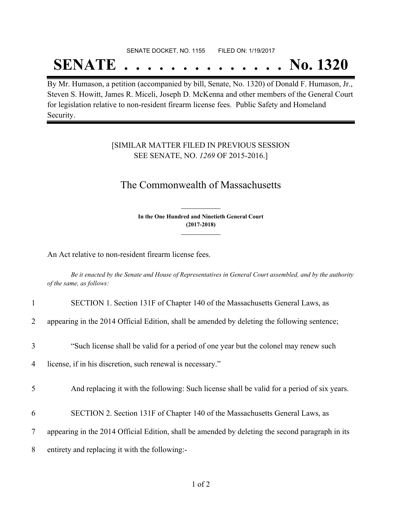# SENATE DOCKET, NO. 1155 FILED ON: 1/19/2017

# **SENATE . . . . . . . . . . . . . . No. 1320**

By Mr. Humason, a petition (accompanied by bill, Senate, No. 1320) of Donald F. Humason, Jr., Steven S. Howitt, James R. Miceli, Joseph D. McKenna and other members of the General Court for legislation relative to non-resident firearm license fees. Public Safety and Homeland Security.

### [SIMILAR MATTER FILED IN PREVIOUS SESSION SEE SENATE, NO. *1269* OF 2015-2016.]

## The Commonwealth of Massachusetts

**In the One Hundred and Ninetieth General Court (2017-2018) \_\_\_\_\_\_\_\_\_\_\_\_\_\_\_**

**\_\_\_\_\_\_\_\_\_\_\_\_\_\_\_**

An Act relative to non-resident firearm license fees.

Be it enacted by the Senate and House of Representatives in General Court assembled, and by the authority *of the same, as follows:*

| 1              | SECTION 1. Section 131F of Chapter 140 of the Massachusetts General Laws, as                     |
|----------------|--------------------------------------------------------------------------------------------------|
| $\overline{2}$ | appearing in the 2014 Official Edition, shall be amended by deleting the following sentence;     |
| 3              | "Such license shall be valid for a period of one year but the colonel may renew such             |
| 4              | license, if in his discretion, such renewal is necessary."                                       |
| 5              | And replacing it with the following: Such license shall be valid for a period of six years.      |
| 6              | SECTION 2. Section 131F of Chapter 140 of the Massachusetts General Laws, as                     |
| 7              | appearing in the 2014 Official Edition, shall be amended by deleting the second paragraph in its |
| 8              | entirety and replacing it with the following:-                                                   |